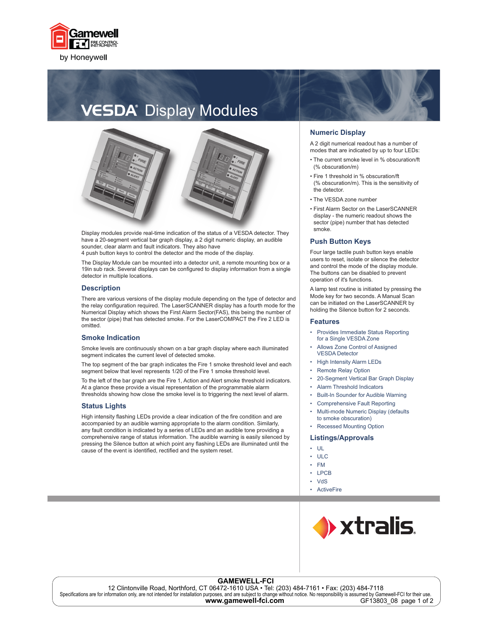

## **VESDA**<sup>®</sup> Display Modules



Display modules provide real-time indication of the status of a VESDA detector. They have a 20-segment vertical bar graph display, a 2 digit numeric display, an audible sounder, clear alarm and fault indicators. They also have

4 push button keys to control the detector and the mode of the display.

The Display Module can be mounted into a detector unit, a remote mounting box or a 19in sub rack. Several displays can be configured to display information from a single detector in multiple locations.

#### **Description**

There are various versions of the display module depending on the type of detector and the relay configuration required. The LaserSCANNER display has a fourth mode for the Numerical Display which shows the First Alarm Sector(FAS), this being the number of the sector (pipe) that has detected smoke. For the LaserCOMPACT the Fire 2 LED is omitted.

#### **Smoke Indication**

Smoke levels are continuously shown on a bar graph display where each illuminated segment indicates the current level of detected smoke.

The top segment of the bar graph indicates the Fire 1 smoke threshold level and each segment below that level represents 1/20 of the Fire 1 smoke threshold level.

To the left of the bar graph are the Fire 1, Action and Alert smoke threshold indicators. At a glance these provide a visual representation of the programmable alarm thresholds showing how close the smoke level is to triggering the next level of alarm.

#### **Status Lights**

High intensity flashing LEDs provide a clear indication of the fire condition and are accompanied by an audible warning appropriate to the alarm condition. Similarly, any fault condition is indicated by a series of LEDs and an audible tone providing a comprehensive range of status information. The audible warning is easily silenced by pressing the Silence button at which point any flashing LEDs are illuminated until the cause of the event is identified, rectified and the system reset.

#### **Numeric Display**

A 2 digit numerical readout has a number of modes that are indicated by up to four LEDs:

- The current smoke level in % obscuration/ft (% obscuration/m)
- Fire 1 threshold in % obscuration/ft (% obscuration/m). This is the sensitivity of the detector.
- The VESDA zone number
- First Alarm Sector on the LaserSCANNER display - the numeric readout shows the sector (pipe) number that has detected smoke.

#### **Push Button Keys**

Four large tactile push button keys enable users to reset, isolate or silence the detector and control the mode of the display module. The buttons can be disabled to prevent operation of it's functions.

A lamp test routine is initiated by pressing the Mode key for two seconds. A Manual Scan can be initiated on the LaserSCANNER by holding the Silence button for 2 seconds.

#### **Features**

- Provides Immediate Status Reporting for a Single VESDA Zone •
- Allows Zone Control of Assigned VESDA Detector •
- High Intensity Alarm LEDs •
- Remote Relay Option •
- 20-Segment Vertical Bar Graph Display •
- Alarm Threshold Indicators •
- Built-In Sounder for Audible Warning •
- Comprehensive Fault Reporting •
- Multi-mode Numeric Display (defaults to smoke obscuration) •
- Recessed Mounting Option •

#### **Listings/Approvals**

- UL •
- ULC
- FM •
- LPCB •
- VdS •
- ActiveFire



#### **GAMEWELL-FCI**

12 Clintonville Road, Northford, CT 06472-1610 USA • Tel: (203) 484-7161 • Fax: (203) 484-7118 Specifications are for information only, are not intended for installation purposes, and are subject to change without notice. No responsibility is assumed by Gamewell-FCI for their use.<br>4 WWW.gamewell-fci.com GF13803 08 p **www.gamewell-fci.com** GF13803\_08 page 1 of 2